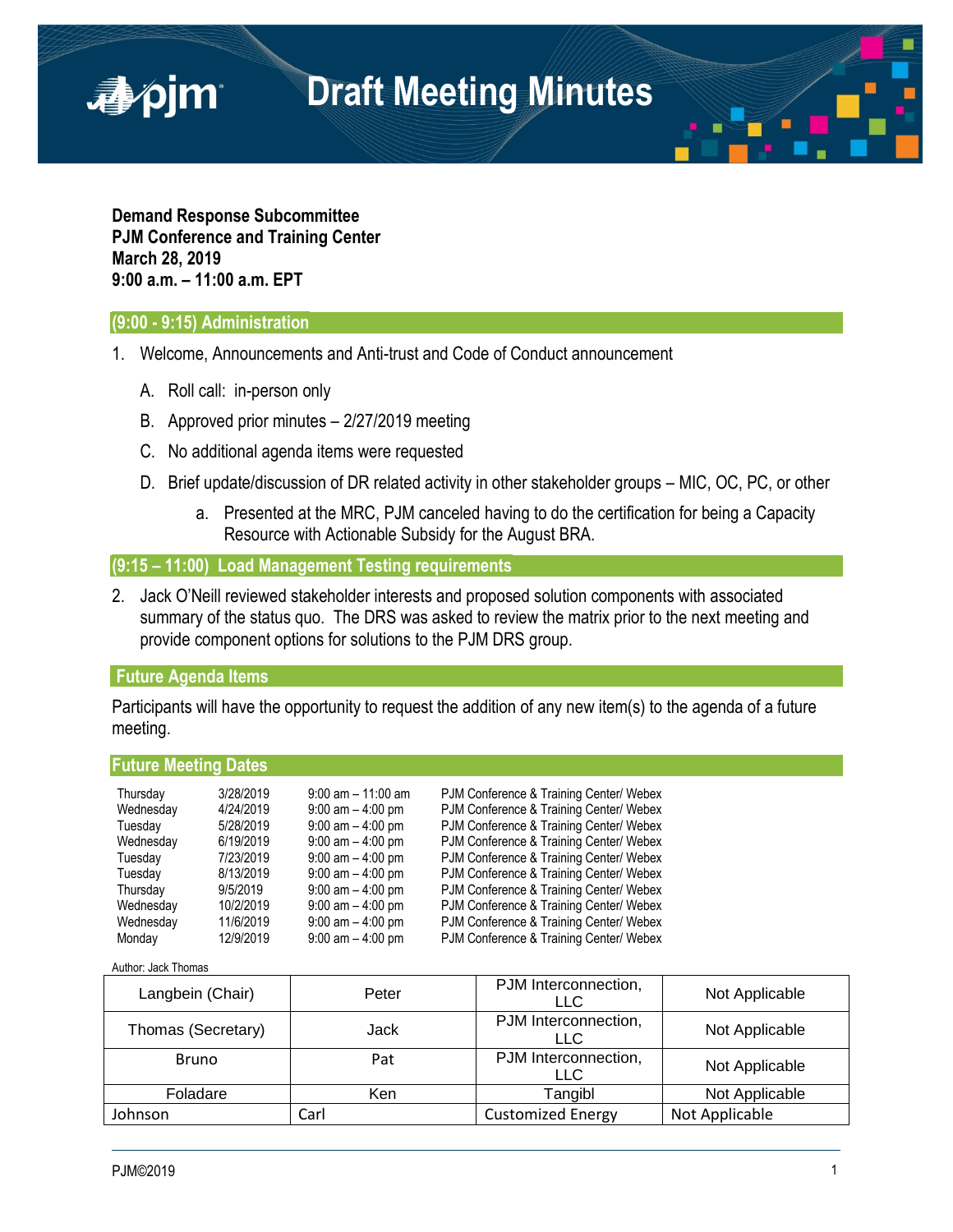

**Demand Response Subcommittee PJM Conference and Training Center March 28, 2019 9:00 a.m. – 11:00 a.m. EPT**

### **(9:00 - 9:15) Administration**

■pjm

- 1. Welcome, Announcements and Anti-trust and Code of Conduct announcement
	- A. Roll call: in-person only
	- B. Approved prior minutes 2/27/2019 meeting
	- C. No additional agenda items were requested
	- D. Brief update/discussion of DR related activity in other stakeholder groups MIC, OC, PC, or other
		- a. Presented at the MRC, PJM canceled having to do the certification for being a Capacity Resource with Actionable Subsidy for the August BRA.

**(9:15 – 11:00) Load Management Testing requirements**

2. Jack O'Neill reviewed stakeholder interests and proposed solution components with associated summary of the status quo. The DRS was asked to review the matrix prior to the next meeting and provide component options for solutions to the PJM DRS group.

### **Future Agenda Items**

Participants will have the opportunity to request the addition of any new item(s) to the agenda of a future meeting.

**Future Meeting Dates** Thursday 3/28/2019 9:00 am – 11:00 am PJM Conference & Training Center/ Webex Wednesday  $4/24/2019$  9:00 am  $-4:00$  pm PJM Conference & Training Center/ Webex Tuesday 5/28/2019 9:00 am – 4:00 pm PJM Conference & Training Center/ Webex Wednesday 6/19/2019 9:00 am – 4:00 pm PJM Conference & Training Center/ Webex Tuesday 7/23/2019 9:00 am – 4:00 pm PJM Conference & Training Center/ Webex Tuesday 8/13/2019 9:00 am – 4:00 pm PJM Conference & Training Center/ Webex Thursday 9/5/2019 9:00 am – 4:00 pm PJM Conference & Training Center/ Webex Wednesday 10/2/2019 9:00 am - 4:00 pm PJM Conference & Training Center/ Webex Wednesday 11/6/2019 9:00 am - 4:00 pm PJM Conference & Training Center/ Webex Monday 12/9/2019 9:00 am – 4:00 pm PJM Conference & Training Center/ Webex

Author: Jack Thomas

| Langbein (Chair)   | Peter      | PJM Interconnection,<br>LLC | Not Applicable |
|--------------------|------------|-----------------------------|----------------|
| Thomas (Secretary) | Jack       | PJM Interconnection,<br>LLC | Not Applicable |
| <b>Bruno</b>       | Pat        | PJM Interconnection,<br>LLC | Not Applicable |
| Foladare           | <b>Ken</b> | Tangibl                     | Not Applicable |
| Johnson            | Carl       | <b>Customized Energy</b>    | Not Applicable |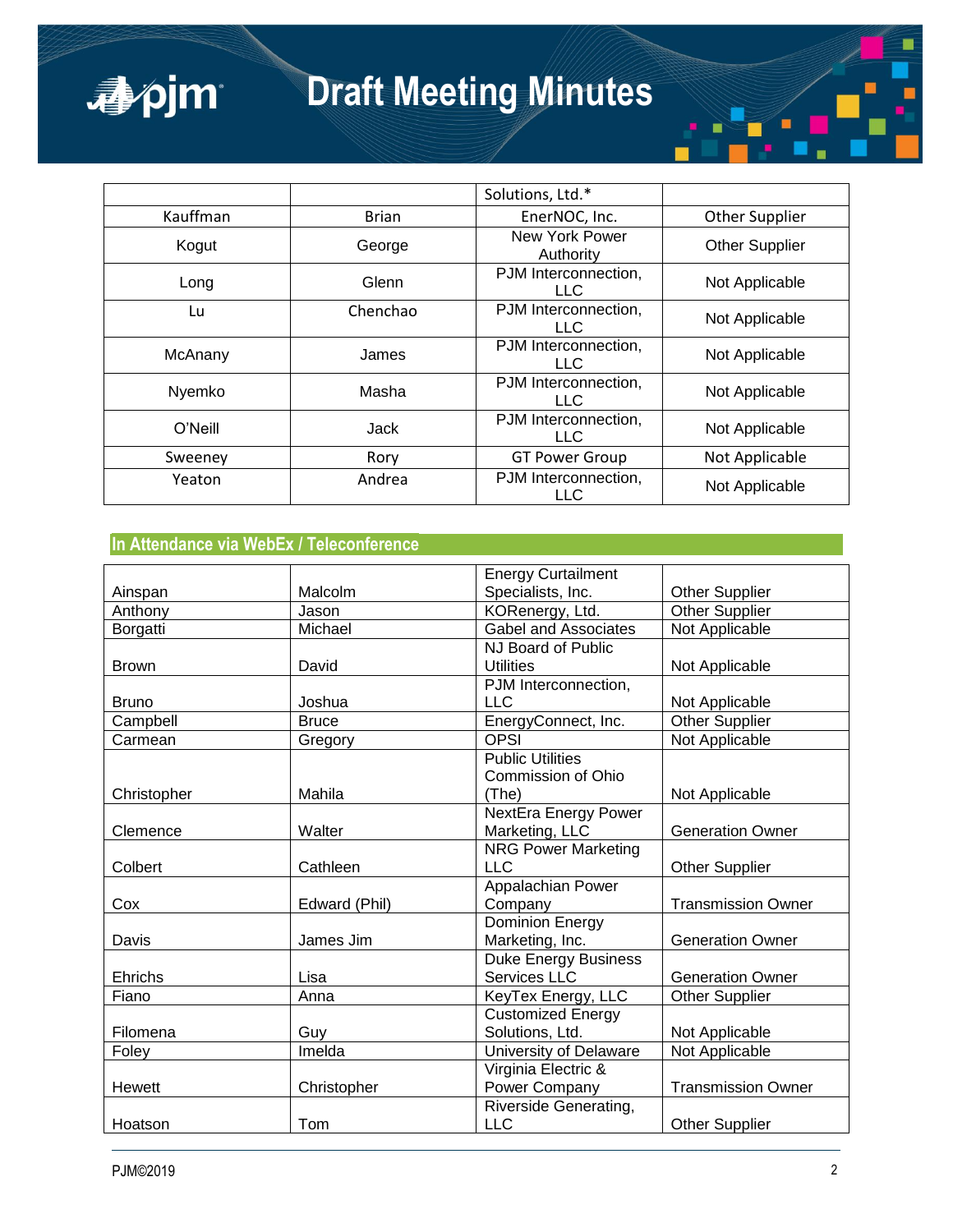# **Draft Meeting Minutes**

|          |              | Solutions, Ltd.*                   |                       |
|----------|--------------|------------------------------------|-----------------------|
| Kauffman | <b>Brian</b> | EnerNOC, Inc.                      | Other Supplier        |
| Kogut    | George       | New York Power<br>Authority        | <b>Other Supplier</b> |
| Long     | Glenn        | PJM Interconnection,<br>LLC.       | Not Applicable        |
| Lu       | Chenchao     | PJM Interconnection,<br><b>LLC</b> | Not Applicable        |
| McAnany  | James        | PJM Interconnection,<br>LLC.       | Not Applicable        |
| Nyemko   | Masha        | PJM Interconnection,<br>LLC.       | Not Applicable        |
| O'Neill  | Jack         | PJM Interconnection,<br><b>LLC</b> | Not Applicable        |
| Sweeney  | Rory         | <b>GT Power Group</b>              | Not Applicable        |
| Yeaton   | Andrea       | PJM Interconnection,<br>LLC        | Not Applicable        |

## **In Attendance via WebEx / Teleconference**

apjm

|              |               | <b>Energy Curtailment</b>   |                           |
|--------------|---------------|-----------------------------|---------------------------|
| Ainspan      | Malcolm       | Specialists, Inc.           | <b>Other Supplier</b>     |
| Anthony      | Jason         | KORenergy, Ltd.             | <b>Other Supplier</b>     |
| Borgatti     | Michael       | <b>Gabel and Associates</b> | Not Applicable            |
|              |               | NJ Board of Public          |                           |
| <b>Brown</b> | David         | <b>Utilities</b>            | Not Applicable            |
|              |               | PJM Interconnection,        |                           |
| <b>Bruno</b> | Joshua        | <b>LLC</b>                  | Not Applicable            |
| Campbell     | <b>Bruce</b>  | EnergyConnect, Inc.         | <b>Other Supplier</b>     |
| Carmean      | Gregory       | <b>OPSI</b>                 | Not Applicable            |
|              |               | <b>Public Utilities</b>     |                           |
|              |               | Commission of Ohio          |                           |
| Christopher  | Mahila        | (The)                       | Not Applicable            |
|              |               | NextEra Energy Power        |                           |
| Clemence     | Walter        | Marketing, LLC              | <b>Generation Owner</b>   |
|              |               | <b>NRG Power Marketing</b>  |                           |
| Colbert      | Cathleen      | <b>LLC</b>                  | <b>Other Supplier</b>     |
|              |               | Appalachian Power           |                           |
| Cox          | Edward (Phil) | Company                     | <b>Transmission Owner</b> |
|              |               | <b>Dominion Energy</b>      |                           |
| Davis        | James Jim     | Marketing, Inc.             | <b>Generation Owner</b>   |
|              |               | <b>Duke Energy Business</b> |                           |
| Ehrichs      | Lisa          | Services LLC                | <b>Generation Owner</b>   |
| Fiano        | Anna          | KeyTex Energy, LLC          | Other Supplier            |
|              |               | <b>Customized Energy</b>    |                           |
| Filomena     | Guy           | Solutions, Ltd.             | Not Applicable            |
| Foley        | Imelda        | University of Delaware      | Not Applicable            |
|              |               | Virginia Electric &         |                           |
| Hewett       | Christopher   | Power Company               | <b>Transmission Owner</b> |
|              |               | Riverside Generating,       |                           |
| Hoatson      | Tom           | <b>LLC</b>                  | Other Supplier            |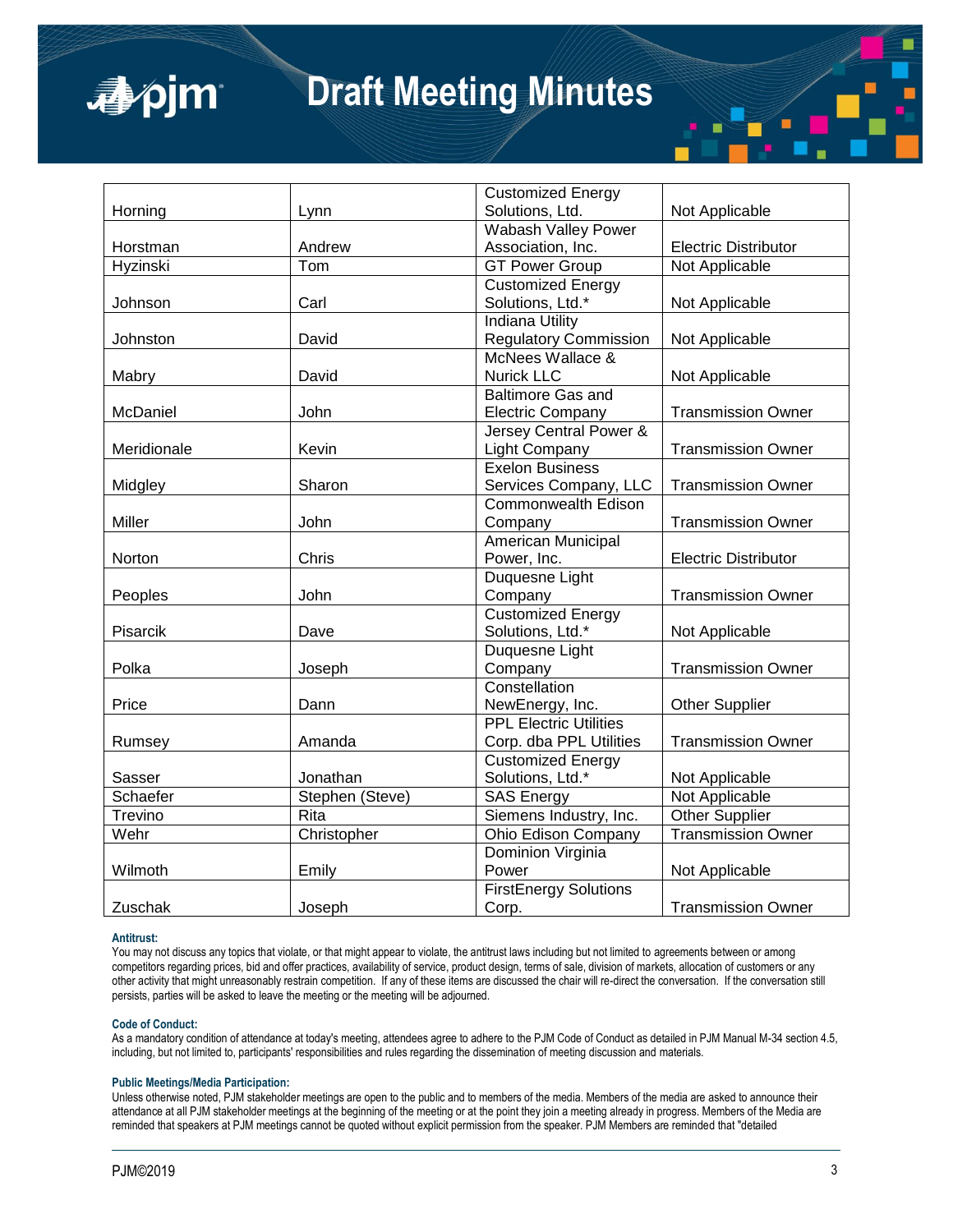

# **Draft Meeting Minutes**

|             |                   | <b>Customized Energy</b>      |                             |
|-------------|-------------------|-------------------------------|-----------------------------|
| Horning     | Lynn              | Solutions, Ltd.               | Not Applicable              |
|             |                   | Wabash Valley Power           |                             |
| Horstman    | Andrew            | Association, Inc.             | <b>Electric Distributor</b> |
| Hyzinski    | Tom               | <b>GT Power Group</b>         | Not Applicable              |
|             |                   | <b>Customized Energy</b>      |                             |
| Johnson     | Carl              | Solutions, Ltd.*              | Not Applicable              |
|             |                   | <b>Indiana Utility</b>        |                             |
| Johnston    | David             | <b>Regulatory Commission</b>  | Not Applicable              |
|             |                   | McNees Wallace &              |                             |
| Mabry       | David             | <b>Nurick LLC</b>             | Not Applicable              |
|             |                   | <b>Baltimore Gas and</b>      |                             |
| McDaniel    | John              | <b>Electric Company</b>       | <b>Transmission Owner</b>   |
|             |                   | Jersey Central Power &        |                             |
| Meridionale | Kevin             | Light Company                 | <b>Transmission Owner</b>   |
|             |                   | Exelon Business               |                             |
| Midgley     | Sharon            | Services Company, LLC         | <b>Transmission Owner</b>   |
|             |                   | <b>Commonwealth Edison</b>    |                             |
| Miller      | John              | Company                       | <b>Transmission Owner</b>   |
|             |                   | American Municipal            |                             |
| Norton      | Chris             | Power, Inc.                   | <b>Electric Distributor</b> |
|             |                   | Duquesne Light                |                             |
| Peoples     | John              | Company                       | <b>Transmission Owner</b>   |
|             |                   | <b>Customized Energy</b>      |                             |
| Pisarcik    | Dave              | Solutions, Ltd.*              | Not Applicable              |
|             |                   | Duquesne Light                |                             |
| Polka       | Joseph            | Company                       | <b>Transmission Owner</b>   |
|             |                   | Constellation                 |                             |
| Price       | Dann              | NewEnergy, Inc.               | <b>Other Supplier</b>       |
|             |                   | <b>PPL Electric Utilities</b> |                             |
| Rumsey      | Amanda            | Corp. dba PPL Utilities       | <b>Transmission Owner</b>   |
|             |                   | <b>Customized Energy</b>      |                             |
| Sasser      | Jonathan          | Solutions, Ltd.*              | Not Applicable              |
| Schaefer    | Stephen (Steve)   | <b>SAS Energy</b>             | Not Applicable              |
| Trevino     | $\overline{Rita}$ | Siemens Industry, Inc.        | <b>Other Supplier</b>       |
| Wehr        | Christopher       | Ohio Edison Company           | <b>Transmission Owner</b>   |
|             |                   | Dominion Virginia             |                             |
| Wilmoth     | Emily             | Power                         | Not Applicable              |
|             |                   | <b>FirstEnergy Solutions</b>  |                             |
| Zuschak     | Joseph            | Corp.                         | <b>Transmission Owner</b>   |

#### **Antitrust:**

You may not discuss any topics that violate, or that might appear to violate, the antitrust laws including but not limited to agreements between or among competitors regarding prices, bid and offer practices, availability of service, product design, terms of sale, division of markets, allocation of customers or any other activity that might unreasonably restrain competition. If any of these items are discussed the chair will re-direct the conversation. If the conversation still persists, parties will be asked to leave the meeting or the meeting will be adjourned.

#### **Code of Conduct:**

As a mandatory condition of attendance at today's meeting, attendees agree to adhere to the PJM Code of Conduct as detailed in PJM Manual M-34 section 4.5, including, but not limited to, participants' responsibilities and rules regarding the dissemination of meeting discussion and materials.

#### **Public Meetings/Media Participation:**

Unless otherwise noted, PJM stakeholder meetings are open to the public and to members of the media. Members of the media are asked to announce their attendance at all PJM stakeholder meetings at the beginning of the meeting or at the point they join a meeting already in progress. Members of the Media are reminded that speakers at PJM meetings cannot be quoted without explicit permission from the speaker. PJM Members are reminded that "detailed